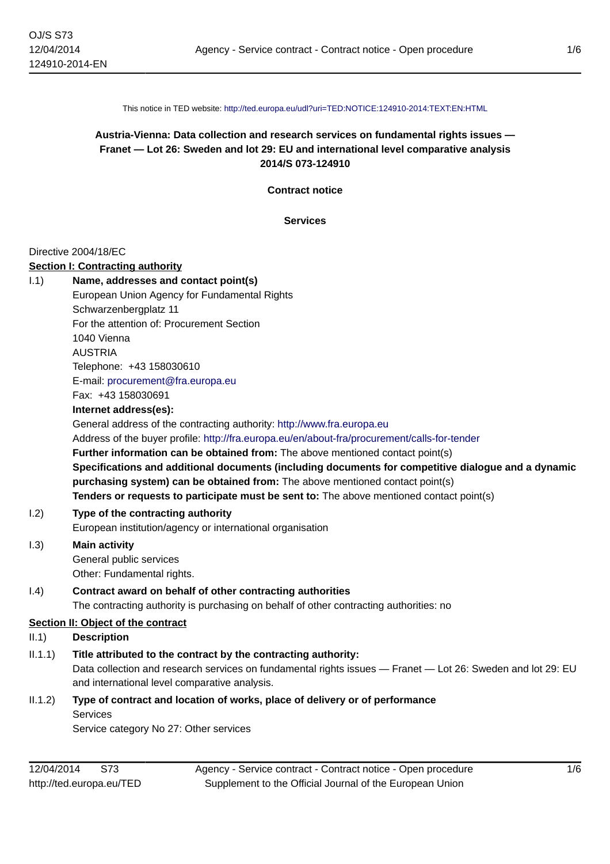This notice in TED website: <http://ted.europa.eu/udl?uri=TED:NOTICE:124910-2014:TEXT:EN:HTML>

# **Austria-Vienna: Data collection and research services on fundamental rights issues — Franet — Lot 26: Sweden and lot 29: EU and international level comparative analysis 2014/S 073-124910**

**Contract notice**

**Services**

#### Directive 2004/18/EC

#### **Section I: Contracting authority**

|         | Section I: Contracting authority                                                                                                                                                     |
|---------|--------------------------------------------------------------------------------------------------------------------------------------------------------------------------------------|
| 1.1)    | Name, addresses and contact point(s)                                                                                                                                                 |
|         | European Union Agency for Fundamental Rights                                                                                                                                         |
|         | Schwarzenbergplatz 11                                                                                                                                                                |
|         | For the attention of: Procurement Section                                                                                                                                            |
|         | 1040 Vienna                                                                                                                                                                          |
|         | <b>AUSTRIA</b>                                                                                                                                                                       |
|         | Telephone: +43 158030610                                                                                                                                                             |
|         | E-mail: procurement@fra.europa.eu                                                                                                                                                    |
|         | Fax: +43 158030691                                                                                                                                                                   |
|         | Internet address(es):                                                                                                                                                                |
|         | General address of the contracting authority: http://www.fra.europa.eu                                                                                                               |
|         | Address of the buyer profile: http://fra.europa.eu/en/about-fra/procurement/calls-for-tender                                                                                         |
|         | Further information can be obtained from: The above mentioned contact point(s)                                                                                                       |
|         | Specifications and additional documents (including documents for competitive dialogue and a dynamic<br>purchasing system) can be obtained from: The above mentioned contact point(s) |
|         | Tenders or requests to participate must be sent to: The above mentioned contact point(s)                                                                                             |
| 1.2)    | Type of the contracting authority                                                                                                                                                    |
|         | European institution/agency or international organisation                                                                                                                            |
| 1.3)    | <b>Main activity</b>                                                                                                                                                                 |
|         | General public services                                                                                                                                                              |
|         | Other: Fundamental rights.                                                                                                                                                           |
| (0.4)   | Contract award on behalf of other contracting authorities                                                                                                                            |
|         | The contracting authority is purchasing on behalf of other contracting authorities: no                                                                                               |
|         | Section II: Object of the contract                                                                                                                                                   |
| II.1    | <b>Description</b>                                                                                                                                                                   |
| II.1.1) | Title attributed to the contract by the contracting authority:                                                                                                                       |
|         | Data collection and research services on fundamental rights issues - Franet - Lot 26: Sweden and lot 29: EU                                                                          |
|         | and international level comparative analysis.                                                                                                                                        |

II.1.2) **Type of contract and location of works, place of delivery or of performance Services** 

Service category No 27: Other services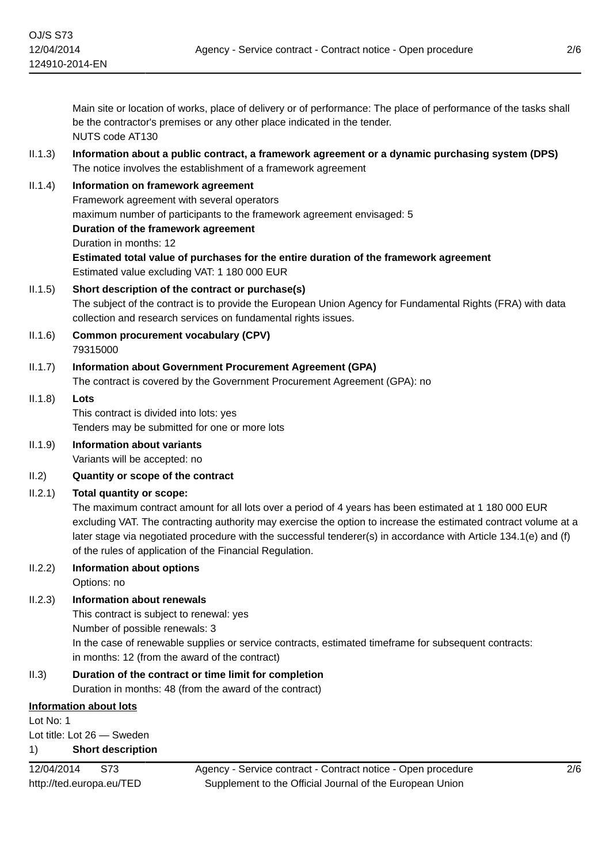Main site or location of works, place of delivery or of performance: The place of performance of the tasks shall be the contractor's premises or any other place indicated in the tender. NUTS code AT130

- II.1.3) **Information about a public contract, a framework agreement or a dynamic purchasing system (DPS)** The notice involves the establishment of a framework agreement
- II.1.4) **Information on framework agreement** Framework agreement with several operators maximum number of participants to the framework agreement envisaged: 5 **Duration of the framework agreement** Duration in months: 12 **Estimated total value of purchases for the entire duration of the framework agreement** Estimated value excluding VAT: 1 180 000 EUR
- II.1.5) **Short description of the contract or purchase(s)** The subject of the contract is to provide the European Union Agency for Fundamental Rights (FRA) with data collection and research services on fundamental rights issues.
- II.1.6) **Common procurement vocabulary (CPV)** 79315000
- II.1.7) **Information about Government Procurement Agreement (GPA)** The contract is covered by the Government Procurement Agreement (GPA): no

# II.1.8) **Lots**

This contract is divided into lots: yes Tenders may be submitted for one or more lots

- II.1.9) **Information about variants** Variants will be accepted: no
- II.2) **Quantity or scope of the contract**
- II.2.1) **Total quantity or scope:**

The maximum contract amount for all lots over a period of 4 years has been estimated at 1 180 000 EUR excluding VAT. The contracting authority may exercise the option to increase the estimated contract volume at a later stage via negotiated procedure with the successful tenderer(s) in accordance with Article 134.1(e) and (f) of the rules of application of the Financial Regulation.

II.2.2) **Information about options**

Options: no

# II.2.3) **Information about renewals**

This contract is subject to renewal: yes Number of possible renewals: 3 In the case of renewable supplies or service contracts, estimated timeframe for subsequent contracts: in months: 12 (from the award of the contract)

II.3) **Duration of the contract or time limit for completion**

Duration in months: 48 (from the award of the contract)

## **Information about lots**

Lot No: 1 Lot title: Lot 26 — Sweden

1) **Short description**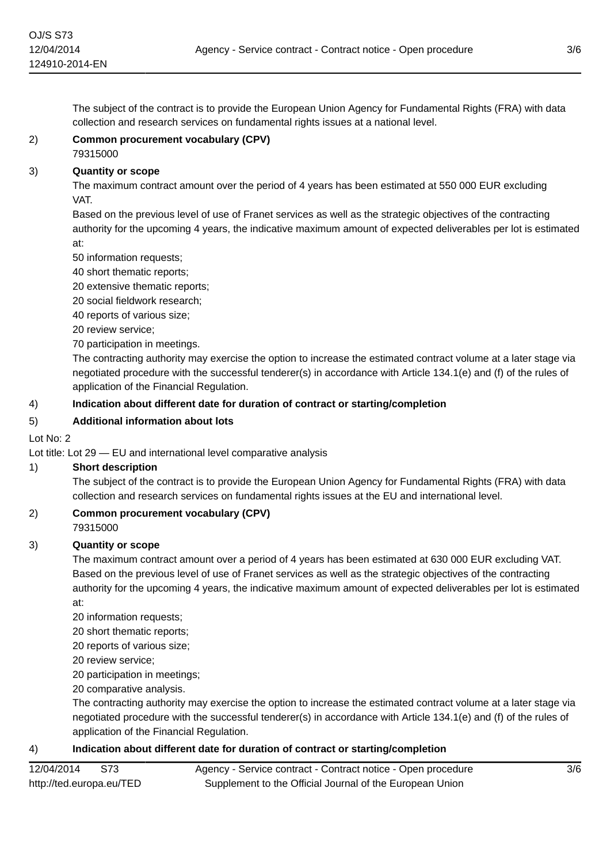The subject of the contract is to provide the European Union Agency for Fundamental Rights (FRA) with data collection and research services on fundamental rights issues at a national level.

# 2) **Common procurement vocabulary (CPV)**

# 79315000

# 3) **Quantity or scope**

The maximum contract amount over the period of 4 years has been estimated at 550 000 EUR excluding VAT.

Based on the previous level of use of Franet services as well as the strategic objectives of the contracting authority for the upcoming 4 years, the indicative maximum amount of expected deliverables per lot is estimated at:

50 information requests;

40 short thematic reports;

20 extensive thematic reports;

20 social fieldwork research;

40 reports of various size;

20 review service;

70 participation in meetings.

The contracting authority may exercise the option to increase the estimated contract volume at a later stage via negotiated procedure with the successful tenderer(s) in accordance with Article 134.1(e) and (f) of the rules of application of the Financial Regulation.

# 4) **Indication about different date for duration of contract or starting/completion**

## 5) **Additional information about lots**

Lot No: 2

Lot title: Lot 29 — EU and international level comparative analysis

## 1) **Short description**

The subject of the contract is to provide the European Union Agency for Fundamental Rights (FRA) with data collection and research services on fundamental rights issues at the EU and international level.

# 2) **Common procurement vocabulary (CPV)** 79315000

## 3) **Quantity or scope**

The maximum contract amount over a period of 4 years has been estimated at 630 000 EUR excluding VAT. Based on the previous level of use of Franet services as well as the strategic objectives of the contracting authority for the upcoming 4 years, the indicative maximum amount of expected deliverables per lot is estimated at:

20 information requests;

20 short thematic reports;

20 reports of various size;

20 review service;

20 participation in meetings;

20 comparative analysis.

The contracting authority may exercise the option to increase the estimated contract volume at a later stage via negotiated procedure with the successful tenderer(s) in accordance with Article 134.1(e) and (f) of the rules of application of the Financial Regulation.

## 4) **Indication about different date for duration of contract or starting/completion**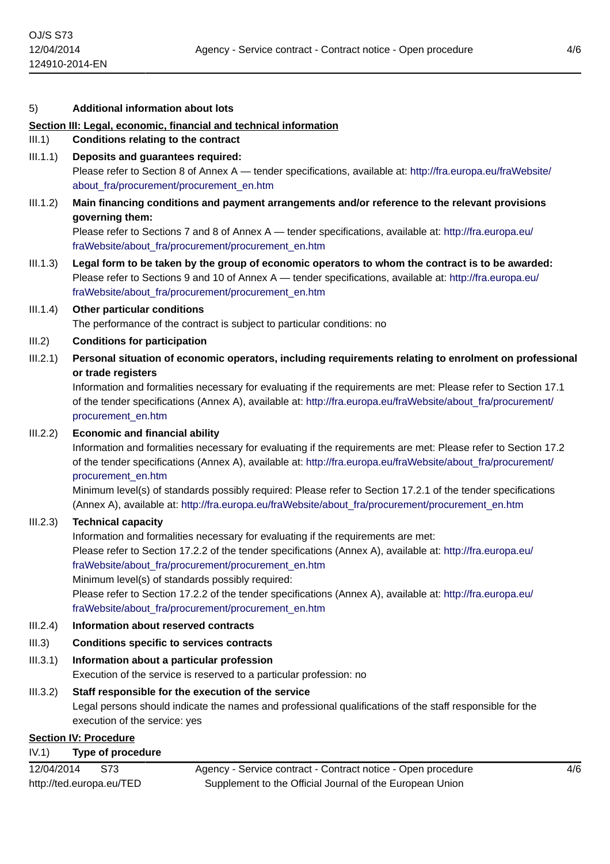#### 5) **Additional information about lots**

#### **Section III: Legal, economic, financial and technical information**

#### III.1) **Conditions relating to the contract**

- III.1.1) **Deposits and guarantees required:** Please refer to Section 8 of Annex A — tender specifications, available at: [http://fra.europa.eu/fraWebsite/](http://fra.europa.eu/fraWebsite/about_fra/procurement/procurement_en.htm) about fra/procurement/procurement en.htm
- III.1.2) **Main financing conditions and payment arrangements and/or reference to the relevant provisions governing them:**

Please refer to Sections 7 and 8 of Annex A — tender specifications, available at: [http://fra.europa.eu/](http://fra.europa.eu/fraWebsite/about_fra/procurement/procurement_en.htm) [fraWebsite/about\\_fra/procurement/procurement\\_en.htm](http://fra.europa.eu/fraWebsite/about_fra/procurement/procurement_en.htm)

III.1.3) **Legal form to be taken by the group of economic operators to whom the contract is to be awarded:** Please refer to Sections 9 and 10 of Annex A — tender specifications, available at: [http://fra.europa.eu/](http://fra.europa.eu/fraWebsite/about_fra/procurement/procurement_en.htm) [fraWebsite/about\\_fra/procurement/procurement\\_en.htm](http://fra.europa.eu/fraWebsite/about_fra/procurement/procurement_en.htm)

# III.1.4) **Other particular conditions**

The performance of the contract is subject to particular conditions: no

- III.2) **Conditions for participation**
- III.2.1) **Personal situation of economic operators, including requirements relating to enrolment on professional or trade registers**

Information and formalities necessary for evaluating if the requirements are met: Please refer to Section 17.1 of the tender specifications (Annex A), available at: [http://fra.europa.eu/fraWebsite/about\\_fra/procurement/](http://fra.europa.eu/fraWebsite/about_fra/procurement/procurement_en.htm) [procurement\\_en.htm](http://fra.europa.eu/fraWebsite/about_fra/procurement/procurement_en.htm)

## III.2.2) **Economic and financial ability**

Information and formalities necessary for evaluating if the requirements are met: Please refer to Section 17.2 of the tender specifications (Annex A), available at: [http://fra.europa.eu/fraWebsite/about\\_fra/procurement/](http://fra.europa.eu/fraWebsite/about_fra/procurement/procurement_en.htm) [procurement\\_en.htm](http://fra.europa.eu/fraWebsite/about_fra/procurement/procurement_en.htm)

Minimum level(s) of standards possibly required: Please refer to Section 17.2.1 of the tender specifications (Annex A), available at: [http://fra.europa.eu/fraWebsite/about\\_fra/procurement/procurement\\_en.htm](http://fra.europa.eu/fraWebsite/about_fra/procurement/procurement_en.htm)

# III.2.3) **Technical capacity**

Information and formalities necessary for evaluating if the requirements are met:

Please refer to Section 17.2.2 of the tender specifications (Annex A), available at: [http://fra.europa.eu/](http://fra.europa.eu/fraWebsite/about_fra/procurement/procurement_en.htm) [fraWebsite/about\\_fra/procurement/procurement\\_en.htm](http://fra.europa.eu/fraWebsite/about_fra/procurement/procurement_en.htm)

Minimum level(s) of standards possibly required:

Please refer to Section 17.2.2 of the tender specifications (Annex A), available at: [http://fra.europa.eu/](http://fra.europa.eu/fraWebsite/about_fra/procurement/procurement_en.htm) [fraWebsite/about\\_fra/procurement/procurement\\_en.htm](http://fra.europa.eu/fraWebsite/about_fra/procurement/procurement_en.htm)

#### III.2.4) **Information about reserved contracts**

## III.3) **Conditions specific to services contracts**

III.3.1) **Information about a particular profession**

Execution of the service is reserved to a particular profession: no

## III.3.2) **Staff responsible for the execution of the service**

Legal persons should indicate the names and professional qualifications of the staff responsible for the execution of the service: yes

## **Section IV: Procedure**

#### IV.1) **Type of procedure**

| 12/04/2014               | S73 | Agency - Service contract - Contract notice - Open procedure |
|--------------------------|-----|--------------------------------------------------------------|
| http://ted.europa.eu/TED |     | Supplement to the Official Journal of the European Union     |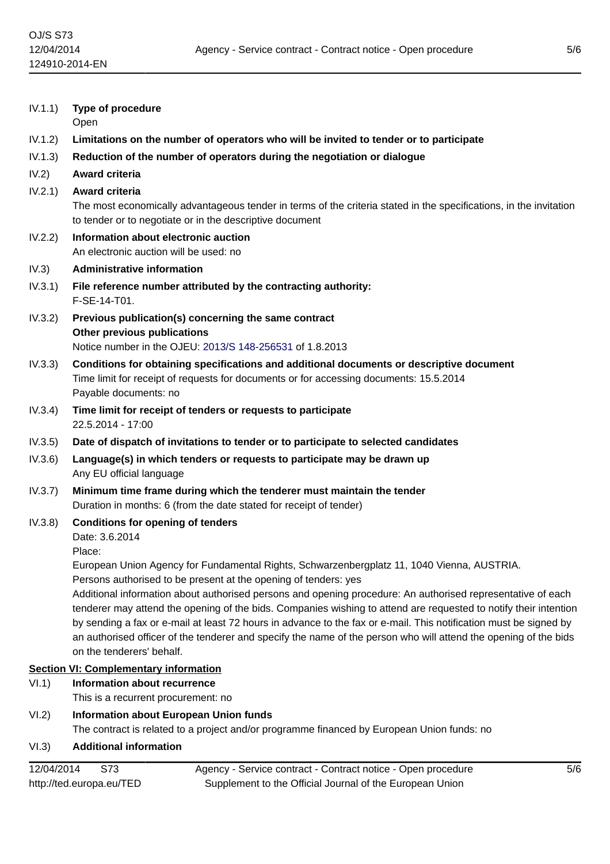| IV.1.1) | <b>Type of procedure</b><br>Open                                                                                                                                                                                                                                                                                                                                                                                                                                                                      |  |  |
|---------|-------------------------------------------------------------------------------------------------------------------------------------------------------------------------------------------------------------------------------------------------------------------------------------------------------------------------------------------------------------------------------------------------------------------------------------------------------------------------------------------------------|--|--|
| IV.1.2) | Limitations on the number of operators who will be invited to tender or to participate                                                                                                                                                                                                                                                                                                                                                                                                                |  |  |
| IV.1.3) | Reduction of the number of operators during the negotiation or dialogue                                                                                                                                                                                                                                                                                                                                                                                                                               |  |  |
| IV.2)   | Award criteria                                                                                                                                                                                                                                                                                                                                                                                                                                                                                        |  |  |
| IV.2.1) | <b>Award criteria</b><br>The most economically advantageous tender in terms of the criteria stated in the specifications, in the invitation<br>to tender or to negotiate or in the descriptive document                                                                                                                                                                                                                                                                                               |  |  |
| IV.2.2) | Information about electronic auction<br>An electronic auction will be used: no                                                                                                                                                                                                                                                                                                                                                                                                                        |  |  |
| IV.3)   | <b>Administrative information</b>                                                                                                                                                                                                                                                                                                                                                                                                                                                                     |  |  |
| IV.3.1) | File reference number attributed by the contracting authority:<br>F-SE-14-T01.                                                                                                                                                                                                                                                                                                                                                                                                                        |  |  |
| IV.3.2) | Previous publication(s) concerning the same contract<br>Other previous publications<br>Notice number in the OJEU: 2013/S 148-256531 of 1.8.2013                                                                                                                                                                                                                                                                                                                                                       |  |  |
| IV.3.3) | Conditions for obtaining specifications and additional documents or descriptive document<br>Time limit for receipt of requests for documents or for accessing documents: 15.5.2014<br>Payable documents: no                                                                                                                                                                                                                                                                                           |  |  |
| IV.3.4) | Time limit for receipt of tenders or requests to participate<br>22.5.2014 - 17:00                                                                                                                                                                                                                                                                                                                                                                                                                     |  |  |
| IV.3.5) | Date of dispatch of invitations to tender or to participate to selected candidates                                                                                                                                                                                                                                                                                                                                                                                                                    |  |  |
| IV.3.6) | Language(s) in which tenders or requests to participate may be drawn up<br>Any EU official language                                                                                                                                                                                                                                                                                                                                                                                                   |  |  |
| IV.3.7) | Minimum time frame during which the tenderer must maintain the tender<br>Duration in months: 6 (from the date stated for receipt of tender)                                                                                                                                                                                                                                                                                                                                                           |  |  |
| IV.3.8) | <b>Conditions for opening of tenders</b><br>Date: 3.6.2014<br>Place:                                                                                                                                                                                                                                                                                                                                                                                                                                  |  |  |
|         | European Union Agency for Fundamental Rights, Schwarzenbergplatz 11, 1040 Vienna, AUSTRIA.<br>Persons authorised to be present at the opening of tenders: yes                                                                                                                                                                                                                                                                                                                                         |  |  |
|         | Additional information about authorised persons and opening procedure: An authorised representative of each<br>tenderer may attend the opening of the bids. Companies wishing to attend are requested to notify their intention<br>by sending a fax or e-mail at least 72 hours in advance to the fax or e-mail. This notification must be signed by<br>an authorised officer of the tenderer and specify the name of the person who will attend the opening of the bids<br>on the tenderers' behalf. |  |  |
|         | <b>Section VI: Complementary information</b>                                                                                                                                                                                                                                                                                                                                                                                                                                                          |  |  |
| VI.1)   | <b>Information about recurrence</b><br>This is a recurrent procurement: no                                                                                                                                                                                                                                                                                                                                                                                                                            |  |  |
| VI.2)   | <b>Information about European Union funds</b><br>The contract is related to a project and/or programme financed by European Union funds: no                                                                                                                                                                                                                                                                                                                                                           |  |  |
| VI.3)   | <b>Additional information</b>                                                                                                                                                                                                                                                                                                                                                                                                                                                                         |  |  |